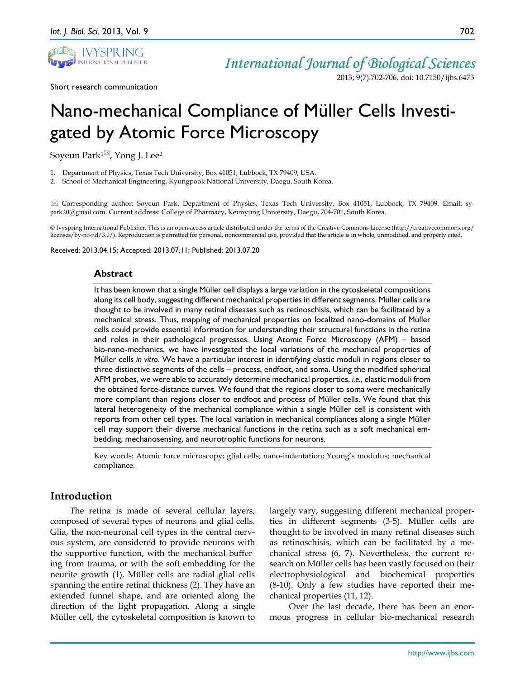

# *International Journal of Biological Sciences* 2013; 9(7):702-706. doi: 10.7150/ijbs.6473

Short research communication

# Nano-mechanical Compliance of Müller Cells Investigated by Atomic Force Microscopy

Soyeun Park<sup>1<sup> $\boxtimes$ </sup>, Yong J. Lee<sup>2</sup></sup>

1. Department of Physics, Texas Tech University, Box 41051, Lubbock, TX 79409, USA.

2. School of Mechanical Engineering, Kyungpook National University, Daegu, South Korea.

 Corresponding author: Soyeun Park. Department of Physics, Texas Tech University, Box 41051, Lubbock, TX 79409. Email: sypark20@gmail.com. Current address: College of Pharmacy, Keimyung University, Daegu, 704-701, South Korea.

© Ivyspring International Publisher. This is an open-access article distributed under the terms of the Creative Commons License (http://creativecommons.org/ licenses/by-nc-nd/3.0/). Reproduction is permitted for personal, noncommercial use, provided that the article is in whole, unmodified, and properly cited.

Received: 2013.04.15; Accepted: 2013.07.11; Published: 2013.07.20

## **Abstract**

It has been known that a single Müller cell displays a large variation in the cytoskeletal compositions along its cell body, suggesting different mechanical properties in different segments. Müller cells are thought to be involved in many retinal diseases such as retinoschisis, which can be facilitated by a mechanical stress. Thus, mapping of mechanical properties on localized nano-domains of Müller cells could provide essential information for understanding their structural functions in the retina and roles in their pathological progresses. Using Atomic Force Microscopy (AFM) – based bio-nano-mechanics, we have investigated the local variations of the mechanical properties of Müller cells *in vitro*. We have a particular interest in identifying elastic moduli in regions closer to three distinctive segments of the cells – process, endfoot, and soma. Using the modified spherical AFM probes, we were able to accurately determine mechanical properties, *i.e.*, elastic moduli from the obtained force-distance curves. We found that the regions closer to soma were mechanically more compliant than regions closer to endfoot and process of Müller cells. We found that this lateral heterogeneity of the mechanical compliance within a single Müller cell is consistent with reports from other cell types. The local variation in mechanical compliances along a single Müller cell may support their diverse mechanical functions in the retina such as a soft mechanical embedding, mechanosensing, and neurotrophic functions for neurons.

Key words: Atomic force microscopy; glial cells; nano-indentation; Young's modulus; mechanical compliance.

# **Introduction**

The retina is made of several cellular layers, composed of several types of neurons and glial cells. Glia, the non-neuronal cell types in the central nervous system, are considered to provide neurons with the supportive function, with the mechanical buffering from trauma, or with the soft embedding for the neurite growth (1). Müller cells are radial glial cells spanning the entire retinal thickness (2). They have an extended funnel shape, and are oriented along the direction of the light propagation. Along a single Müller cell, the cytoskeletal composition is known to

largely vary, suggesting different mechanical properties in different segments (3-5). Müller cells are thought to be involved in many retinal diseases such as retinoschisis, which can be facilitated by a mechanical stress (6, 7). Nevertheless, the current research on Müller cells has been vastly focused on their electrophysiological and biochemical properties (8-10). Only a few studies have reported their mechanical properties (11, 12).

Over the last decade, there has been an enormous progress in cellular bio-mechanical research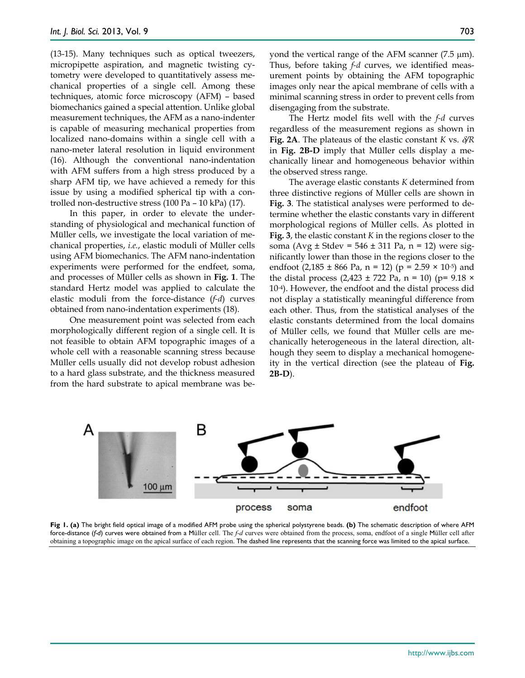(13-15). Many techniques such as optical tweezers, micropipette aspiration, and magnetic twisting cytometry were developed to quantitatively assess mechanical properties of a single cell. Among these techniques, atomic force microscopy (AFM) – based biomechanics gained a special attention. Unlike global measurement techniques, the AFM as a nano-indenter is capable of measuring mechanical properties from localized nano-domains within a single cell with a nano-meter lateral resolution in liquid environment (16). Although the conventional nano-indentation with AFM suffers from a high stress produced by a sharp AFM tip, we have achieved a remedy for this issue by using a modified spherical tip with a controlled non-destructive stress (100 Pa – 10 kPa) (17).

In this paper, in order to elevate the understanding of physiological and mechanical function of Müller cells, we investigate the local variation of mechanical properties, *i.e.*, elastic moduli of Müller cells using AFM biomechanics. The AFM nano-indentation experiments were performed for the endfeet, soma, and processes of Müller cells as shown in **Fig. 1**. The standard Hertz model was applied to calculate the elastic moduli from the force-distance (*f-d*) curves obtained from nano-indentation experiments (18).

One measurement point was selected from each morphologically different region of a single cell. It is not feasible to obtain AFM topographic images of a whole cell with a reasonable scanning stress because Müller cells usually did not develop robust adhesion to a hard glass substrate, and the thickness measured from the hard substrate to apical membrane was beyond the vertical range of the AFM scanner (7.5 µm). Thus, before taking *f-d* curves, we identified measurement points by obtaining the AFM topographic images only near the apical membrane of cells with a minimal scanning stress in order to prevent cells from disengaging from the substrate.

The Hertz model fits well with the *f-d* curves regardless of the measurement regions as shown in **Fig. 2A**. The plateaus of the elastic constant *K* vs. δ*/R* in **Fig. 2B-D** imply that Müller cells display a mechanically linear and homogeneous behavior within the observed stress range.

The average elastic constants *K* determined from three distinctive regions of Müller cells are shown in **Fig. 3**. The statistical analyses were performed to determine whether the elastic constants vary in different morphological regions of Müller cells. As plotted in **Fig. 3**, the elastic constant *K* in the regions closer to the soma (Avg  $\pm$  Stdev = 546  $\pm$  311 Pa, n = 12) were significantly lower than those in the regions closer to the endfoot  $(2,185 \pm 866 \text{ Pa}, \text{ n} = 12)$   $(p = 2.59 \times 10^{-5})$  and the distal process  $(2,423 \pm 722 \text{ Pa}, \text{ n} = 10)$  (p= 9.18  $\times$ 10-4). However, the endfoot and the distal process did not display a statistically meaningful difference from each other. Thus, from the statistical analyses of the elastic constants determined from the local domains of Müller cells, we found that Müller cells are mechanically heterogeneous in the lateral direction, although they seem to display a mechanical homogeneity in the vertical direction (see the plateau of **Fig. 2B-D**).



**Fig 1. (a)** The bright field optical image of a modified AFM probe using the spherical polystyrene beads. **(b)** The schematic description of where AFM force-distance (*f-d*) curves were obtained from a Müller cell. The *f-d* curves were obtained from the process, soma, endfoot of a single Müller cell after obtaining a topographic image on the apical surface of each region. The dashed line represents that the scanning force was limited to the apical surface.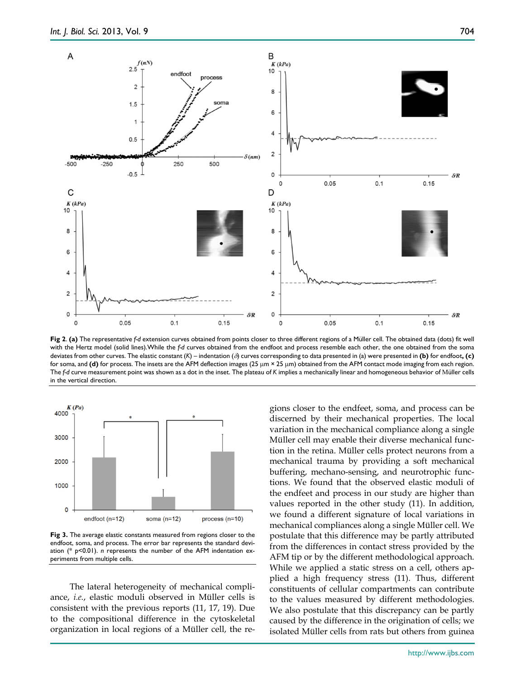

**Fig 2**. **(a)** The representative *f-d* extension curves obtained from points closer to three different regions of a Müller cell. The obtained data (dots) fit well with the Hertz model (solid lines).While the *f-d* curves obtained from the endfoot and process resemble each other, the one obtained from the soma deviates from other curves. The elastic constant (*K*) – indentation (δ) curves corresponding to data presented in (a) were presented in **(b)** for endfoot**, (c)**  for soma, and **(d)** for process. The insets are the AFM deflection images (25 µm × 25 µm) obtained from the AFM contact mode imaging from each region. The *f-d* curve measurement point was shown as a dot in the inset. The plateau of *K* implies a mechanically linear and homogeneous behavior of Müller cells in the vertical direction.



**Fig 3.** The average elastic constants measured from regions closer to the endfoot, soma, and process. The error bar represents the standard deviation (\* p<0.01). *n* represents the number of the AFM indentation experiments from multiple cells.

The lateral heterogeneity of mechanical compliance, *i.e.*, elastic moduli observed in Müller cells is consistent with the previous reports (11, 17, 19). Due to the compositional difference in the cytoskeletal organization in local regions of a Müller cell, the regions closer to the endfeet, soma, and process can be discerned by their mechanical properties. The local variation in the mechanical compliance along a single Müller cell may enable their diverse mechanical function in the retina. Müller cells protect neurons from a mechanical trauma by providing a soft mechanical buffering, mechano-sensing, and neurotrophic functions. We found that the observed elastic moduli of the endfeet and process in our study are higher than values reported in the other study (11). In addition, we found a different signature of local variations in mechanical compliances along a single Müller cell. We postulate that this difference may be partly attributed from the differences in contact stress provided by the AFM tip or by the different methodological approach. While we applied a static stress on a cell, others applied a high frequency stress (11). Thus, different constituents of cellular compartments can contribute to the values measured by different methodologies. We also postulate that this discrepancy can be partly caused by the difference in the origination of cells; we isolated Müller cells from rats but others from guinea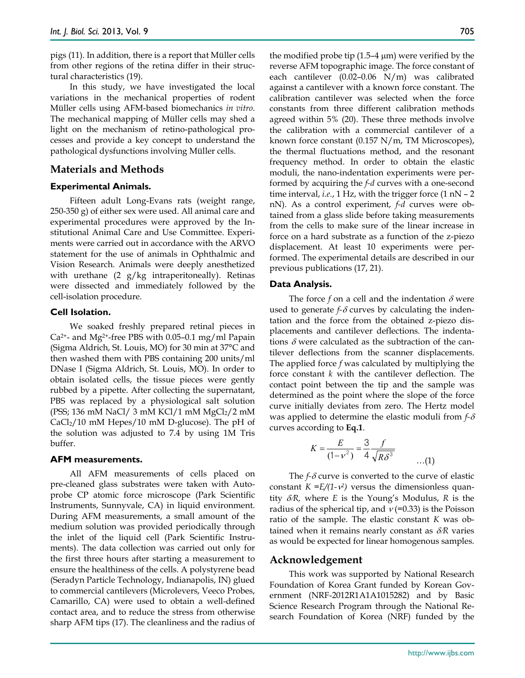pigs (11). In addition, there is a report that Müller cells from other regions of the retina differ in their structural characteristics (19).

In this study, we have investigated the local variations in the mechanical properties of rodent Müller cells using AFM-based biomechanics *in vitro*. The mechanical mapping of Müller cells may shed a light on the mechanism of retino-pathological processes and provide a key concept to understand the pathological dysfunctions involving Müller cells.

# **Materials and Methods**

#### **Experimental Animals.**

Fifteen adult Long-Evans rats (weight range, 250-350 g) of either sex were used. All animal care and experimental procedures were approved by the Institutional Animal Care and Use Committee. Experiments were carried out in accordance with the ARVO statement for the use of animals in Ophthalmic and Vision Research. Animals were deeply anesthetized with urethane  $(2 \text{ g/kg}$  intraperitoneally). Retinas were dissected and immediately followed by the cell-isolation procedure.

# **Cell Isolation.**

We soaked freshly prepared retinal pieces in  $Ca<sup>2+</sup>$ - and Mg<sup>2+</sup>-free PBS with 0.05–0.1 mg/ml Papain (Sigma Aldrich, St. Louis, MO) for 30 min at 37°C and then washed them with PBS containing 200 units/ml DNase I (Sigma Aldrich, St. Louis, MO). In order to obtain isolated cells, the tissue pieces were gently rubbed by a pipette. After collecting the supernatant, PBS was replaced by a physiological salt solution (PSS; 136 mM NaCl/ 3 mM KCl/1 mM  $MgCl<sub>2</sub>/2$  mM  $CaCl<sub>2</sub>/10$  mM Hepes/10 mM D-glucose). The pH of the solution was adjusted to 7.4 by using 1M Tris buffer.

## **AFM measurements.**

All AFM measurements of cells placed on pre-cleaned glass substrates were taken with Autoprobe CP atomic force microscope (Park Scientific Instruments, Sunnyvale, CA) in liquid environment. During AFM measurements, a small amount of the medium solution was provided periodically through the inlet of the liquid cell (Park Scientific Instruments). The data collection was carried out only for the first three hours after starting a measurement to ensure the healthiness of the cells. A polystyrene bead (Seradyn Particle Technology, Indianapolis, IN) glued to commercial cantilevers (Microlevers, Veeco Probes, Camarillo, CA) were used to obtain a well-defined contact area, and to reduce the stress from otherwise sharp AFM tips (17). The cleanliness and the radius of

the modified probe tip  $(1.5-4 \mu m)$  were verified by the reverse AFM topographic image. The force constant of each cantilever (0.02–0.06 N/m) was calibrated against a cantilever with a known force constant. The calibration cantilever was selected when the force constants from three different calibration methods agreed within 5% (20). These three methods involve the calibration with a commercial cantilever of a known force constant (0.157 N/m, TM Microscopes), the thermal fluctuations method, and the resonant frequency method. In order to obtain the elastic moduli, the nano-indentation experiments were performed by acquiring the *f-d* curves with a one-second time interval, *i.e.*, 1 Hz, with the trigger force (1 nN - 2 nN). As a control experiment, *f-d* curves were obtained from a glass slide before taking measurements from the cells to make sure of the linear increase in force on a hard substrate as a function of the z-piezo displacement. At least 10 experiments were performed. The experimental details are described in our previous publications (17, 21).

#### **Data Analysis.**

The force  $f$  on a cell and the indentation  $\delta$  were used to generate  $f-\delta$  curves by calculating the indentation and the force from the obtained z-piezo displacements and cantilever deflections. The indentations  $\delta$  were calculated as the subtraction of the cantilever deflections from the scanner displacements. The applied force *f* was calculated by multiplying the force constant *k* with the cantilever deflection. The contact point between the tip and the sample was determined as the point where the slope of the force curve initially deviates from zero. The Hertz model was applied to determine the elastic moduli from *f-*δ curves according to **Eq.1**.

$$
K = \frac{E}{(1 - v^2)} = \frac{3}{4} \frac{f}{\sqrt{R\delta^3}}
$$
...(1)

The *f-*δ curve is converted to the curve of elastic constant  $K = E/(1-\nu^2)$  versus the dimensionless quantity δ/*R,* where *E* is the Young's Modulus, *R* is the radius of the spherical tip, and  $v (=0.33)$  is the Poisson ratio of the sample. The elastic constant *K* was obtained when it remains nearly constant as δ/*R* varies as would be expected for linear homogenous samples.

#### **Acknowledgement**

This work was supported by National Research Foundation of Korea Grant funded by Korean Government (NRF-2012R1A1A1015282) and by Basic Science Research Program through the National Research Foundation of Korea (NRF) funded by the